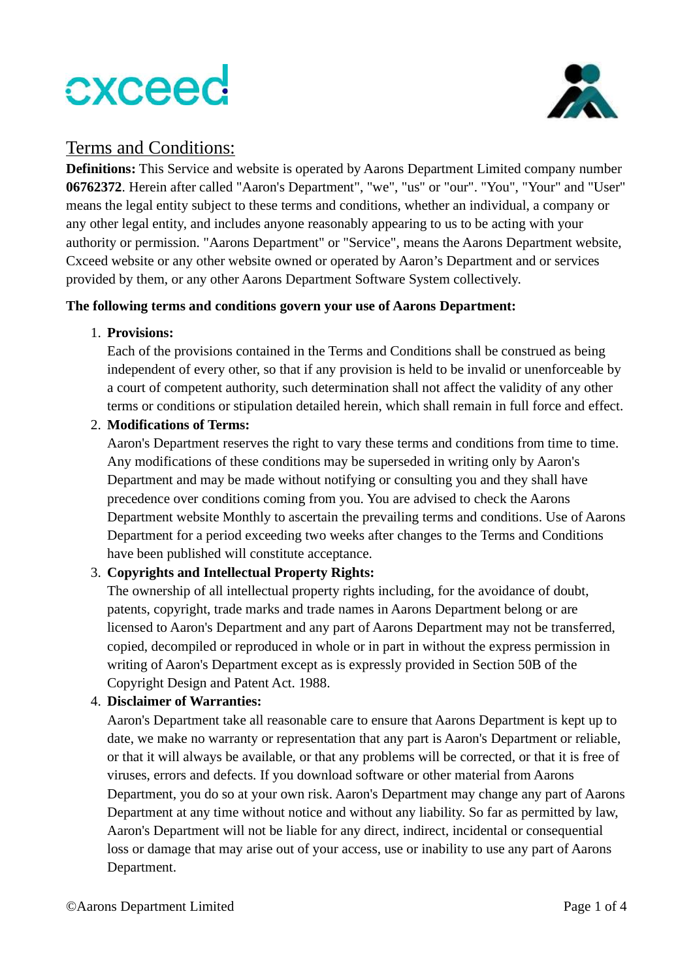

### Terms and Conditions:

Definitions: This Service and website is operated by Aarons Department Limited company number 06762372. Herein after called "Aaron's Department", "we", "us" or "our". "You", "Your" and "User" means the legal entity subject to these terms and conditions, whether an individual, a company or any other legal entity, and includes anyone reasonably appearing to us to be acting with your authority or permission. "Aarons Department" or "Service", means the Aarons Department website, Cxceed website or any other website owned or operated by Aaron's Department and or services provided by them, or any other Aarons Department Software System collectively.

#### The following terms and conditions govern your use of Aarons Department:

#### 1. Provisions:

Each of the provisions contained in the Terms and Conditions shall be construed as being independent of every other, so that if any provision is held to be invalid or unenforceable by a court of competent authority, such determination shall not affect the validity of any other terms or conditions or stipulation detailed herein, which shall remain in full force and effect.

#### 2. Modifications of Terms:

Aaron's Department reserves the right to vary these terms and conditions from time to time. Any modifications of these conditions may be superseded in writing only by Aaron's Department and may be made without notifying or consulting you and they shall have precedence over conditions coming from you. You are advised to check the Aarons Department website Monthly to ascertain the prevailing terms and conditions. Use of Aarons Department for a period exceeding two weeks after changes to the Terms and Conditions have been published will constitute acceptance.

#### 3. Copyrights and Intellectual Property Rights:

The ownership of all intellectual property rights including, for the avoidance of doubt, patents, copyright, trade marks and trade names in Aarons Department belong or are licensed to Aaron's Department and any part of Aarons Department may not be transferred, copied, decompiled or reproduced in whole or in part in without the express permission in writing of Aaron's Department except as is expressly provided in Section 50B of the Copyright Design and Patent Act. 1988.

#### 4. Disclaimer of Warranties:

Aaron's Department take all reasonable care to ensure that Aarons Department is kept up to date, we make no warranty or representation that any part is Aaron's Department or reliable, or that it will always be available, or that any problems will be corrected, or that it is free of viruses, errors and defects. If you download software or other material from Aarons Department, you do so at your own risk. Aaron's Department may change any part of Aarons Department at any time without notice and without any liability. So far as permitted by law, Aaron's Department will not be liable for any direct, indirect, incidental or consequential loss or damage that may arise out of your access, use or inability to use any part of Aarons Department.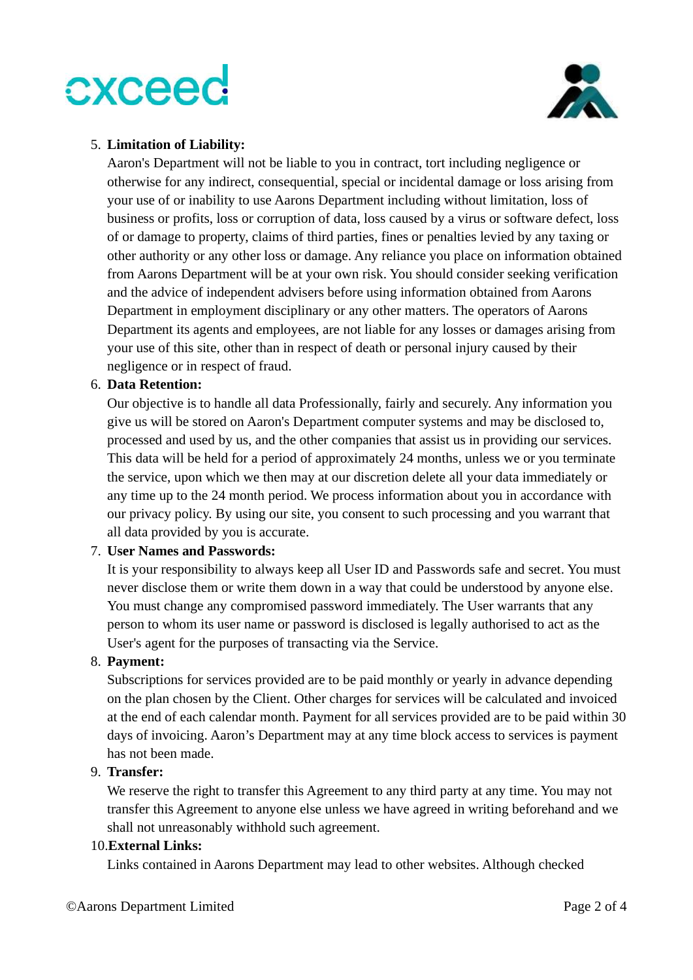

#### 5. Limitation of Liability:

Aaron's Department will not be liable to you in contract, tort including negligence or otherwise for any indirect, consequential, special or incidental damage or loss arising from your use of or inability to use Aarons Department including without limitation, loss of business or profits, loss or corruption of data, loss caused by a virus or software defect, loss of or damage to property, claims of third parties, fines or penalties levied by any taxing or other authority or any other loss or damage. Any reliance you place on information obtained from Aarons Department will be at your own risk. You should consider seeking verification and the advice of independent advisers before using information obtained from Aarons Department in employment disciplinary or any other matters. The operators of Aarons Department its agents and employees, are not liable for any losses or damages arising from your use of this site, other than in respect of death or personal injury caused by their negligence or in respect of fraud.

#### 6. Data Retention:

Our objective is to handle all data Professionally, fairly and securely. Any information you give us will be stored on Aaron's Department computer systems and may be disclosed to, processed and used by us, and the other companies that assist us in providing our services. This data will be held for a period of approximately 24 months, unless we or you terminate the service, upon which we then may at our discretion delete all your data immediately or any time up to the 24 month period. We process information about you in accordance with our privacy policy. By using our site, you consent to such processing and you warrant that all data provided by you is accurate.

#### 7. User Names and Passwords:

It is your responsibility to always keep all User ID and Passwords safe and secret. You must never disclose them or write them down in a way that could be understood by anyone else. You must change any compromised password immediately. The User warrants that any person to whom its user name or password is disclosed is legally authorised to act as the User's agent for the purposes of transacting via the Service.

#### 8. Payment:

Subscriptions for services provided are to be paid monthly or yearly in advance depending on the plan chosen by the Client. Other charges for services will be calculated and invoiced at the end of each calendar month. Payment for all services provided are to be paid within 30 days of invoicing. Aaron's Department may at any time block access to services is payment has not been made.

#### 9. Transfer:

We reserve the right to transfer this Agreement to any third party at any time. You may not transfer this Agreement to anyone else unless we have agreed in writing beforehand and we shall not unreasonably withhold such agreement.

#### 10.External Links:

Links contained in Aarons Department may lead to other websites. Although checked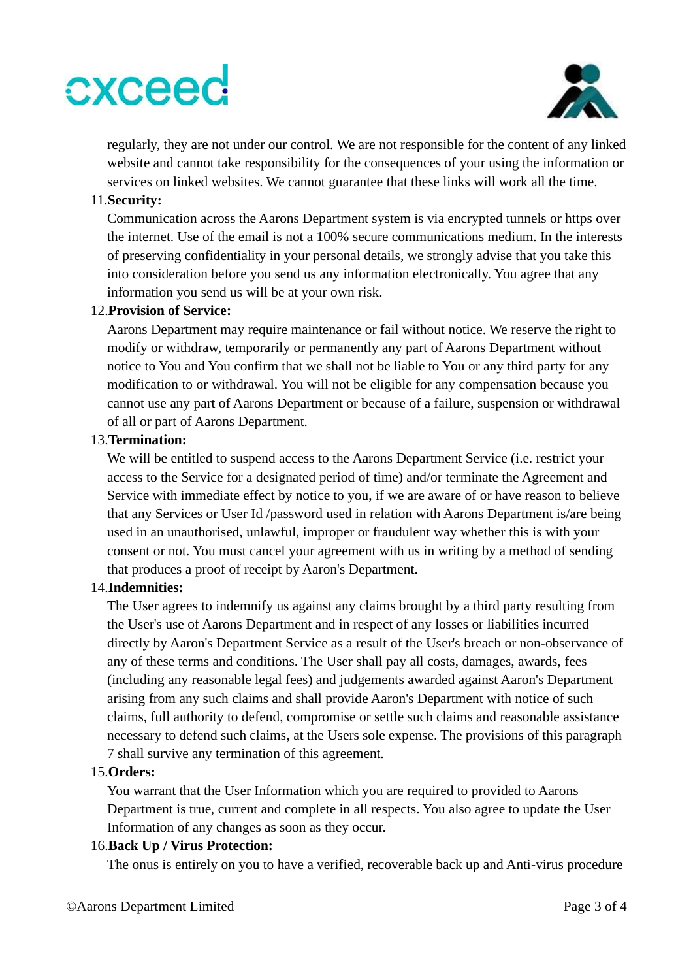

regularly, they are not under our control. We are not responsible for the content of any linked website and cannot take responsibility for the consequences of your using the information or services on linked websites. We cannot guarantee that these links will work all the time.

#### 11.Security:

Communication across the Aarons Department system is via encrypted tunnels or https over the internet. Use of the email is not a 100% secure communications medium. In the interests of preserving confidentiality in your personal details, we strongly advise that you take this into consideration before you send us any information electronically. You agree that any information you send us will be at your own risk.

#### 12.Provision of Service:

Aarons Department may require maintenance or fail without notice. We reserve the right to modify or withdraw, temporarily or permanently any part of Aarons Department without notice to You and You confirm that we shall not be liable to You or any third party for any modification to or withdrawal. You will not be eligible for any compensation because you cannot use any part of Aarons Department or because of a failure, suspension or withdrawal of all or part of Aarons Department.

#### 13.Termination:

We will be entitled to suspend access to the Aarons Department Service (i.e. restrict your access to the Service for a designated period of time) and/or terminate the Agreement and Service with immediate effect by notice to you, if we are aware of or have reason to believe that any Services or User Id /password used in relation with Aarons Department is/are being used in an unauthorised, unlawful, improper or fraudulent way whether this is with your consent or not. You must cancel your agreement with us in writing by a method of sending that produces a proof of receipt by Aaron's Department.

#### 14.Indemnities:

The User agrees to indemnify us against any claims brought by a third party resulting from the User's use of Aarons Department and in respect of any losses or liabilities incurred directly by Aaron's Department Service as a result of the User's breach or non-observance of any of these terms and conditions. The User shall pay all costs, damages, awards, fees (including any reasonable legal fees) and judgements awarded against Aaron's Department arising from any such claims and shall provide Aaron's Department with notice of such claims, full authority to defend, compromise or settle such claims and reasonable assistance necessary to defend such claims, at the Users sole expense. The provisions of this paragraph 7 shall survive any termination of this agreement.

#### 15.Orders:

You warrant that the User Information which you are required to provided to Aarons Department is true, current and complete in all respects. You also agree to update the User Information of any changes as soon as they occur.

#### 16.Back Up / Virus Protection:

The onus is entirely on you to have a verified, recoverable back up and Anti-virus procedure